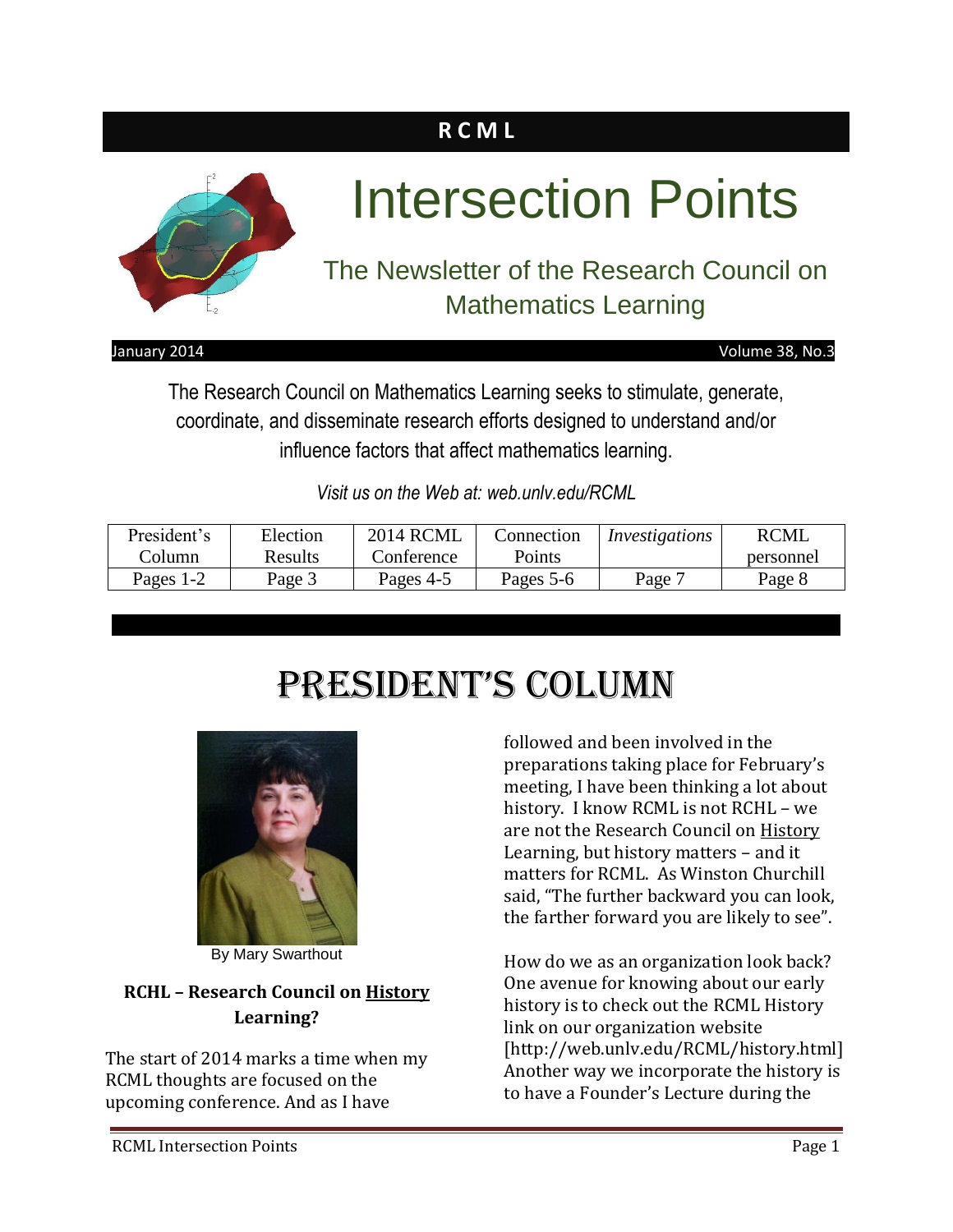# **R C M L**



January 2014 Volume 38, No.3

The Research Council on Mathematics Learning seeks to stimulate, generate, coordinate, and disseminate research efforts designed to understand and/or influence factors that affect mathematics learning.

*Visit us on the Web at: web.unlv.edu/RCML*

| President's | Election | <b>2014 RCML</b> | Connection | Investigations | <b>RCML</b> |
|-------------|----------|------------------|------------|----------------|-------------|
| Column      | Results  | Conference       | Points     |                | personnel   |
| Pages 1-2   | Page 3   | Pages 4-5        | Pages 5-6  | Page '         | Page 8      |

# President's Column



By Mary Swarthout

### **RCHL – Research Council on History Learning?**

The start of 2014 marks a time when my RCML thoughts are focused on the upcoming conference. And as I have

followed and been involved in the preparations taking place for February's meeting, I have been thinking a lot about history. I know RCML is not RCHL – we are not the Research Council on History Learning, but history matters – and it matters for RCML. As Winston Churchill said, "The further backward you can look, the farther forward you are likely to see".

How do we as an organization look back? One avenue for knowing about our early history is to check out the RCML History link on our organization website [http://web.unlv.edu/RCML/history.html] Another way we incorporate the history is to have a Founder's Lecture during the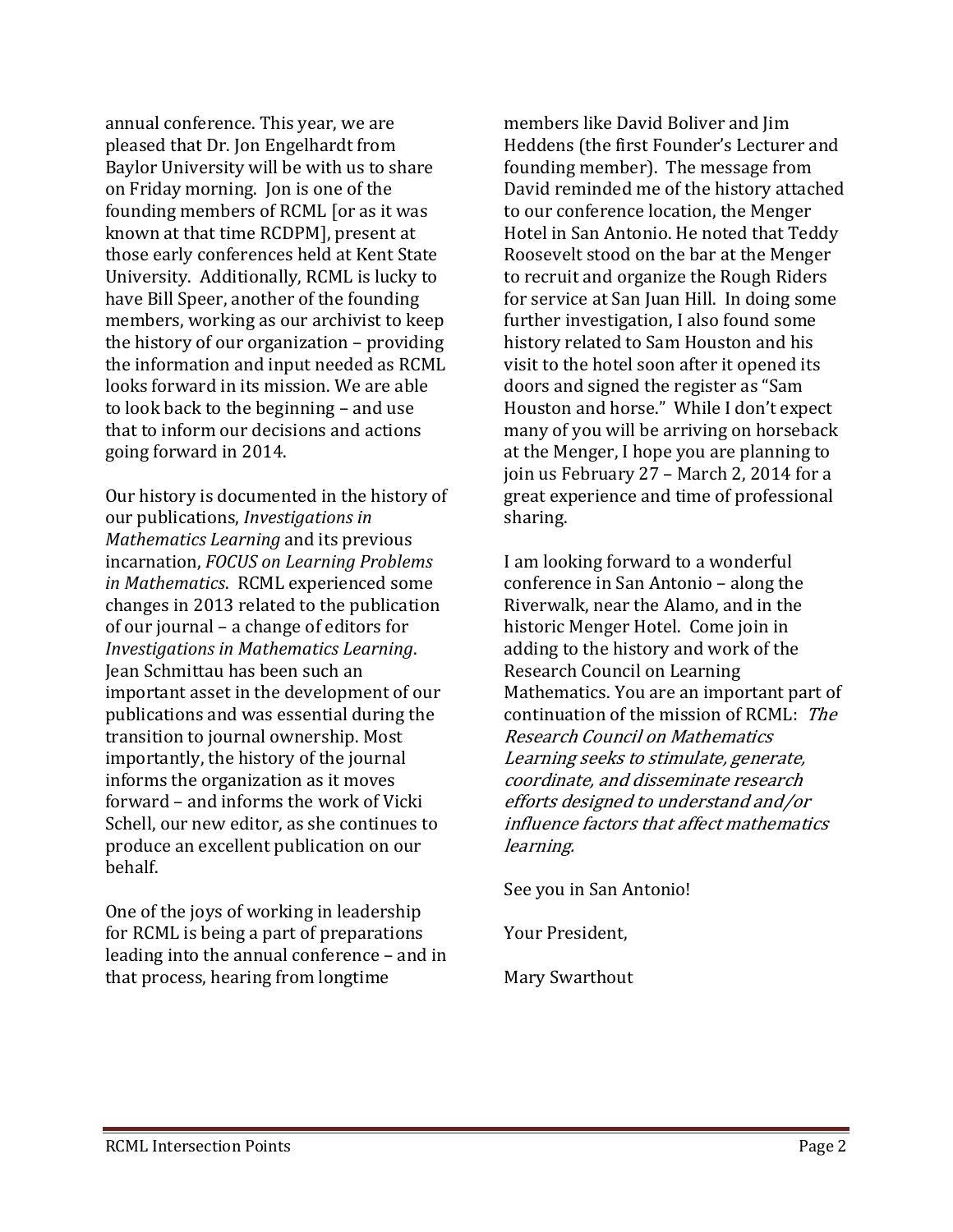annual conference. This year, we are pleased that Dr. Jon Engelhardt from Baylor University will be with us to share on Friday morning. Jon is one of the founding members of RCML [or as it was known at that time RCDPM], present at those early conferences held at Kent State University. Additionally, RCML is lucky to have Bill Speer, another of the founding members, working as our archivist to keep the history of our organization – providing the information and input needed as RCML looks forward in its mission. We are able to look back to the beginning – and use that to inform our decisions and actions going forward in 2014.

Our history is documented in the history of our publications, *Investigations in Mathematics Learning* and its previous incarnation, *FOCUS on Learning Problems in Mathematics*. RCML experienced some changes in 2013 related to the publication of our journal – a change of editors for *Investigations in Mathematics Learning*. Jean Schmittau has been such an important asset in the development of our publications and was essential during the transition to journal ownership. Most importantly, the history of the journal informs the organization as it moves forward – and informs the work of Vicki Schell, our new editor, as she continues to produce an excellent publication on our behalf.

One of the joys of working in leadership for RCML is being a part of preparations leading into the annual conference – and in that process, hearing from longtime

members like David Boliver and Jim Heddens (the first Founder's Lecturer and founding member). The message from David reminded me of the history attached to our conference location, the Menger Hotel in San Antonio. He noted that Teddy Roosevelt stood on the bar at the Menger to recruit and organize the Rough Riders for service at San Juan Hill. In doing some further investigation, I also found some history related to Sam Houston and his visit to the hotel soon after it opened its doors and signed the register as "Sam Houston and horse." While I don't expect many of you will be arriving on horseback at the Menger, I hope you are planning to join us February 27 – March 2, 2014 for a great experience and time of professional sharing.

I am looking forward to a wonderful conference in San Antonio – along the Riverwalk, near the Alamo, and in the historic Menger Hotel. Come join in adding to the history and work of the Research Council on Learning Mathematics. You are an important part of continuation of the mission of RCML: The Research Council on Mathematics Learning seeks to stimulate, generate, coordinate, and disseminate research efforts designed to understand and/or influence factors that affect mathematics learning.

See you in San Antonio!

Your President,

Mary Swarthout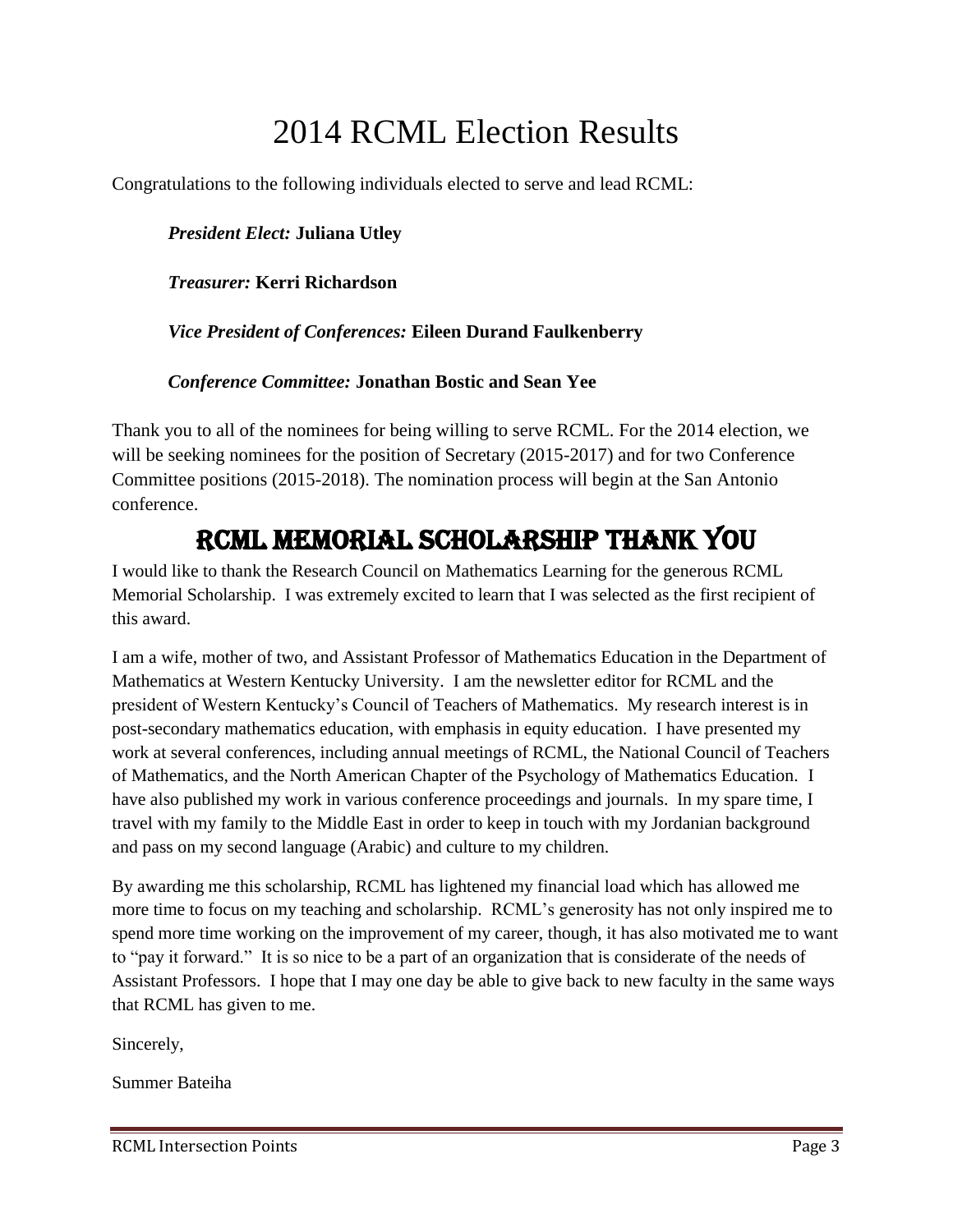# 2014 RCML Election Results

Congratulations to the following individuals elected to serve and lead RCML:

#### *President Elect:* **Juliana Utley**

#### *Treasurer:* **Kerri Richardson**

#### *Vice President of Conferences:* **Eileen Durand Faulkenberry**

#### *Conference Committee:* **Jonathan Bostic and Sean Yee**

Thank you to all of the nominees for being willing to serve RCML. For the 2014 election, we will be seeking nominees for the position of Secretary (2015-2017) and for two Conference Committee positions (2015-2018). The nomination process will begin at the San Antonio conference.

### RCML Memorial Scholarship Thank you

I would like to thank the Research Council on Mathematics Learning for the generous RCML Memorial Scholarship. I was extremely excited to learn that I was selected as the first recipient of this award.

I am a wife, mother of two, and Assistant Professor of Mathematics Education in the Department of Mathematics at Western Kentucky University. I am the newsletter editor for RCML and the president of Western Kentucky's Council of Teachers of Mathematics. My research interest is in post-secondary mathematics education, with emphasis in equity education. I have presented my work at several conferences, including annual meetings of RCML, the National Council of Teachers of Mathematics, and the North American Chapter of the Psychology of Mathematics Education. I have also published my work in various conference proceedings and journals. In my spare time, I travel with my family to the Middle East in order to keep in touch with my Jordanian background and pass on my second language (Arabic) and culture to my children.

By awarding me this scholarship, RCML has lightened my financial load which has allowed me more time to focus on my teaching and scholarship. RCML's generosity has not only inspired me to spend more time working on the improvement of my career, though, it has also motivated me to want to "pay it forward." It is so nice to be a part of an organization that is considerate of the needs of Assistant Professors. I hope that I may one day be able to give back to new faculty in the same ways that RCML has given to me.

Sincerely,

Summer Bateiha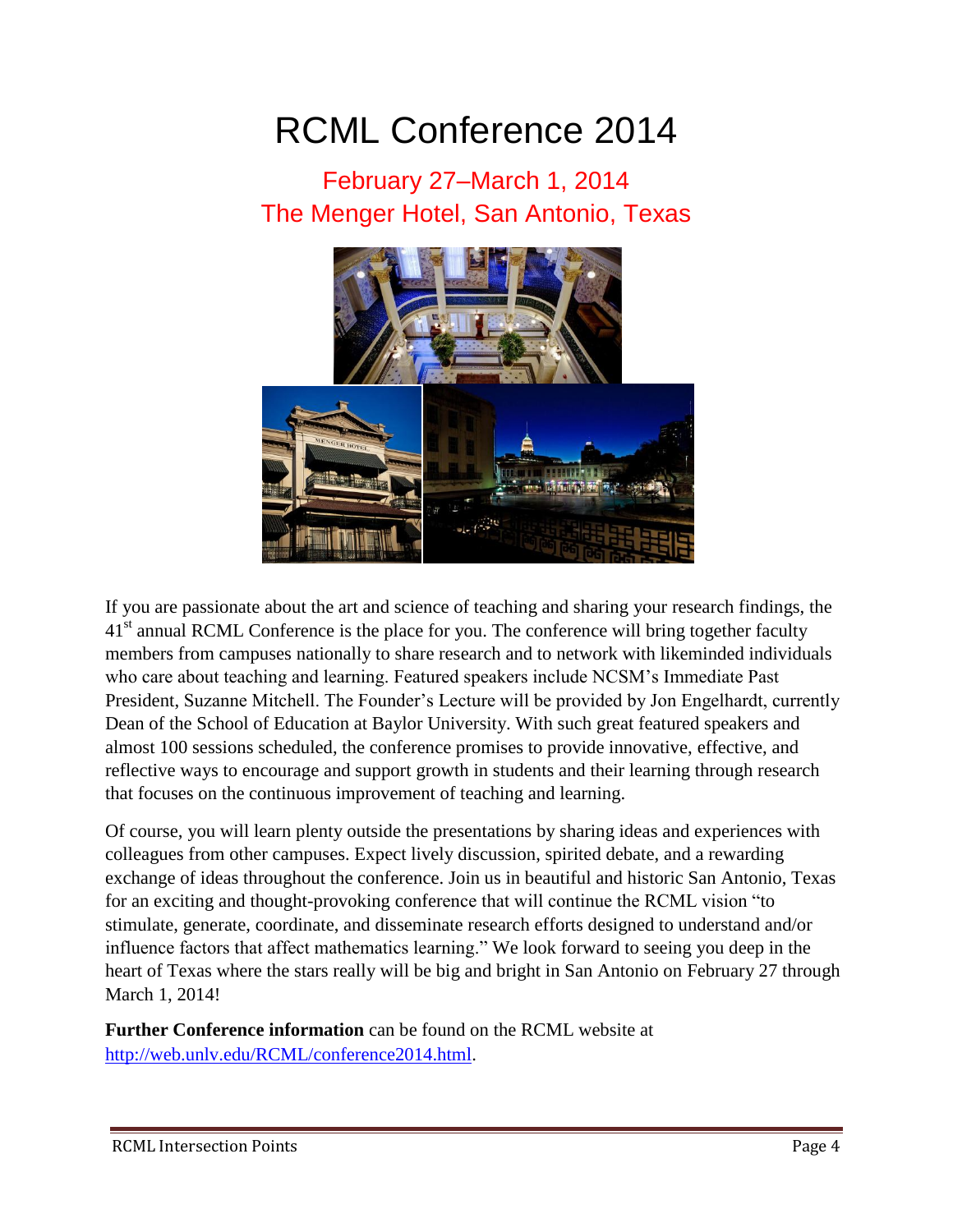# RCML Conference 2014

# February 27–March 1, 2014 The Menger Hotel, San Antonio, Texas



If you are passionate about the art and science of teaching and sharing your research findings, the  $41<sup>st</sup>$  annual RCML Conference is the place for you. The conference will bring together faculty members from campuses nationally to share research and to network with likeminded individuals who care about teaching and learning. Featured speakers include NCSM's Immediate Past President, Suzanne Mitchell. The Founder's Lecture will be provided by Jon Engelhardt, currently Dean of the School of Education at Baylor University. With such great featured speakers and almost 100 sessions scheduled, the conference promises to provide innovative, effective, and reflective ways to encourage and support growth in students and their learning through research that focuses on the continuous improvement of teaching and learning.

Of course, you will learn plenty outside the presentations by sharing ideas and experiences with colleagues from other campuses. Expect lively discussion, spirited debate, and a rewarding exchange of ideas throughout the conference. Join us in beautiful and historic San Antonio, Texas for an exciting and thought-provoking conference that will continue the RCML vision "to stimulate, generate, coordinate, and disseminate research efforts designed to understand and/or influence factors that affect mathematics learning." We look forward to seeing you deep in the heart of Texas where the stars really will be big and bright in San Antonio on February 27 through March 1, 2014!

**Further Conference information** can be found on the RCML website at [http://web.unlv.edu/RCML/conference2014.html.](http://web.unlv.edu/RCML/conference2014.html)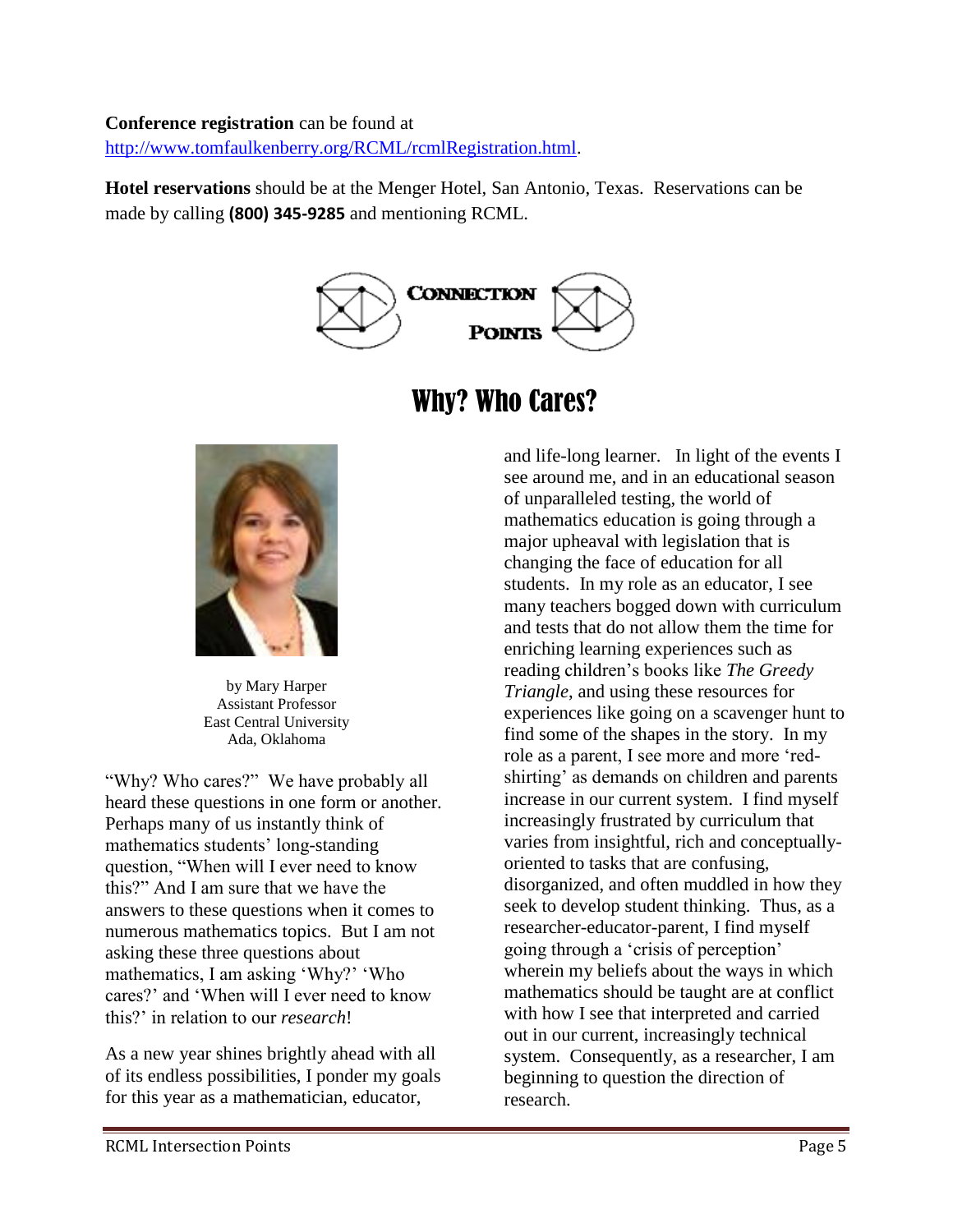#### **Conference registration** can be found at

[http://www.tomfaulkenberry.org/RCML/rcmlRegistration.html.](http://www.tomfaulkenberry.org/RCML/rcmlRegistration.html)

**Hotel reservations** should be at the Menger Hotel, San Antonio, Texas. Reservations can be made by calling **(800) 345-9285** and mentioning RCML.





by Mary Harper Assistant Professor East Central University Ada, Oklahoma

"Why? Who cares?" We have probably all heard these questions in one form or another. Perhaps many of us instantly think of mathematics students' long-standing question, "When will I ever need to know this?" And I am sure that we have the answers to these questions when it comes to numerous mathematics topics. But I am not asking these three questions about mathematics, I am asking 'Why?' 'Who cares?' and 'When will I ever need to know this?' in relation to our *research*!

As a new year shines brightly ahead with all of its endless possibilities, I ponder my goals for this year as a mathematician, educator,

# Why? Who Cares?

and life-long learner. In light of the events I see around me, and in an educational season of unparalleled testing, the world of mathematics education is going through a major upheaval with legislation that is changing the face of education for all students. In my role as an educator, I see many teachers bogged down with curriculum and tests that do not allow them the time for enriching learning experiences such as reading children's books like *The Greedy Triangle*, and using these resources for experiences like going on a scavenger hunt to find some of the shapes in the story. In my role as a parent, I see more and more 'redshirting' as demands on children and parents increase in our current system. I find myself increasingly frustrated by curriculum that varies from insightful, rich and conceptuallyoriented to tasks that are confusing, disorganized, and often muddled in how they seek to develop student thinking. Thus, as a researcher-educator-parent, I find myself going through a 'crisis of perception' wherein my beliefs about the ways in which mathematics should be taught are at conflict with how I see that interpreted and carried out in our current, increasingly technical system. Consequently, as a researcher, I am beginning to question the direction of research.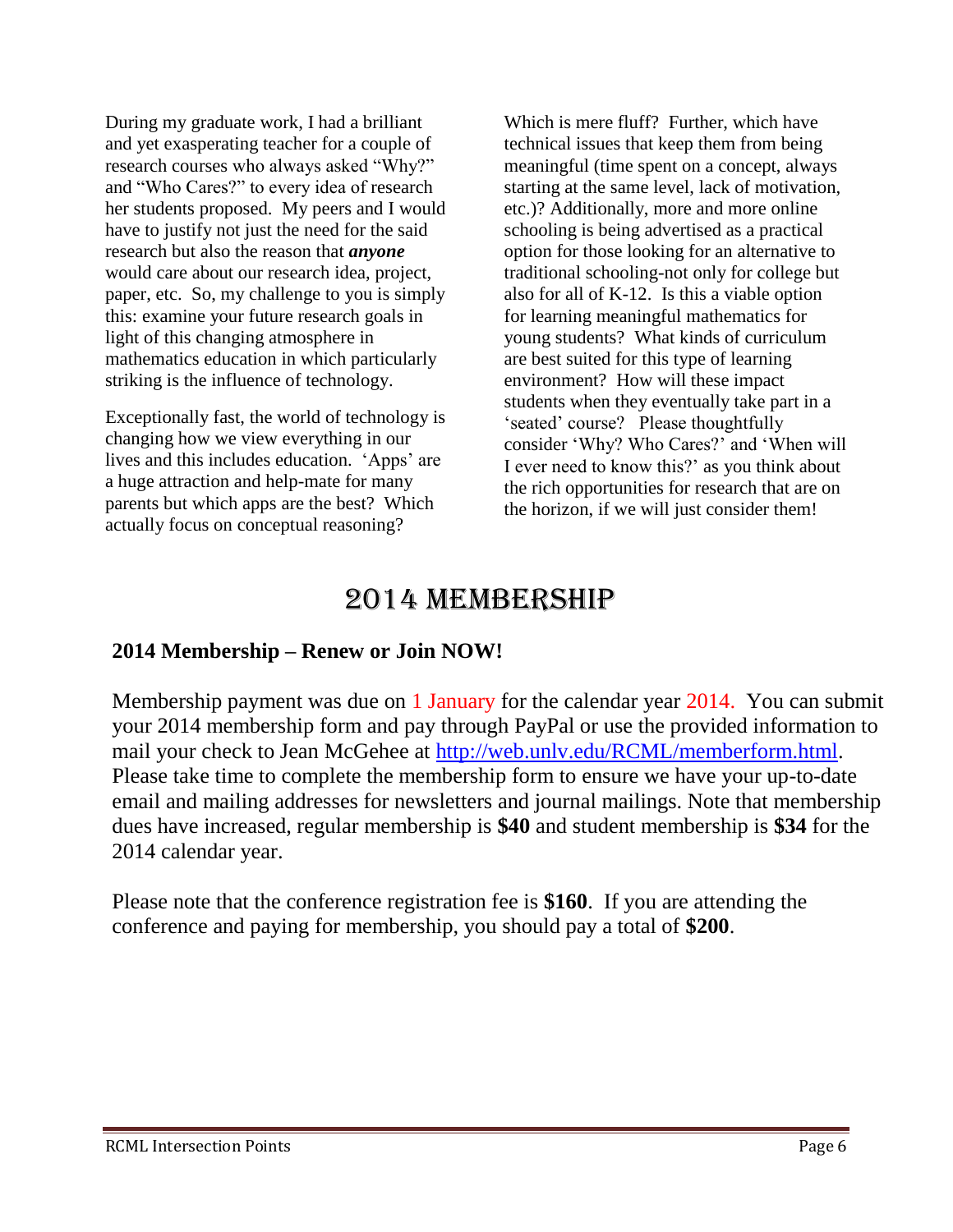During my graduate work, I had a brilliant and yet exasperating teacher for a couple of research courses who always asked "Why?" and "Who Cares?" to every idea of research her students proposed. My peers and I would have to justify not just the need for the said research but also the reason that *anyone* would care about our research idea, project, paper, etc. So, my challenge to you is simply this: examine your future research goals in light of this changing atmosphere in mathematics education in which particularly striking is the influence of technology.

Exceptionally fast, the world of technology is changing how we view everything in our lives and this includes education. 'Apps' are a huge attraction and help-mate for many parents but which apps are the best? Which actually focus on conceptual reasoning?

Which is mere fluff? Further, which have technical issues that keep them from being meaningful (time spent on a concept, always starting at the same level, lack of motivation, etc.)? Additionally, more and more online schooling is being advertised as a practical option for those looking for an alternative to traditional schooling-not only for college but also for all of K-12. Is this a viable option for learning meaningful mathematics for young students? What kinds of curriculum are best suited for this type of learning environment? How will these impact students when they eventually take part in a 'seated' course? Please thoughtfully consider 'Why? Who Cares?' and 'When will I ever need to know this?' as you think about the rich opportunities for research that are on the horizon, if we will just consider them!

# 2014 MEMBERSHIP

#### **2014 Membership – Renew or Join NOW!**

Membership payment was due on 1 January for the calendar year 2014. You can submit your 2014 membership form and pay through PayPal or use the provided information to mail your check to Jean McGehee at [http://web.unlv.edu/RCML/memberform.html.](http://web.unlv.edu/RCML/memberform.html) Please take time to complete the membership form to ensure we have your up-to-date email and mailing addresses for newsletters and journal mailings. Note that membership dues have increased, regular membership is **\$40** and student membership is **\$34** for the 2014 calendar year.

Please note that the conference registration fee is **\$160**. If you are attending the conference and paying for membership, you should pay a total of **\$200**.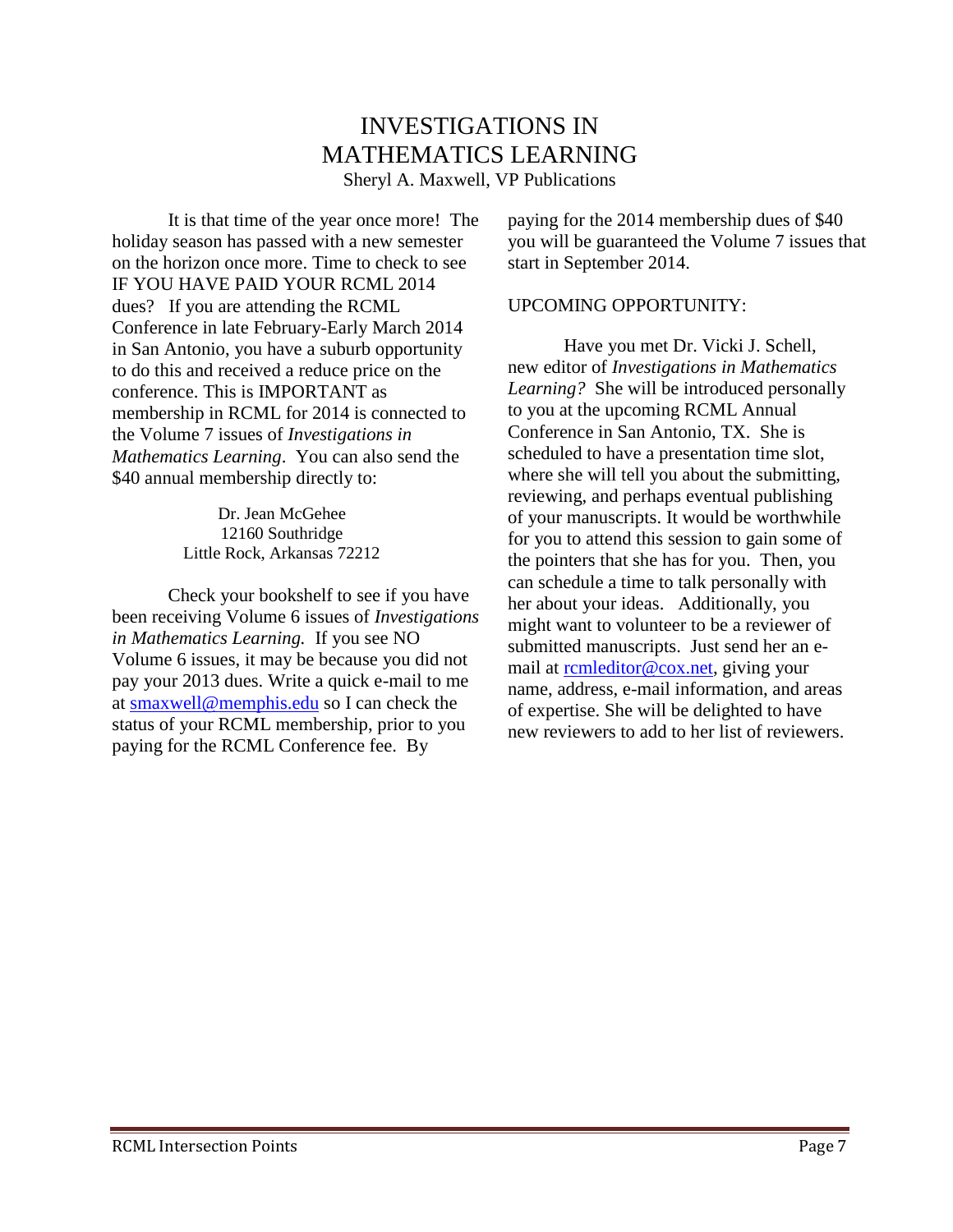### INVESTIGATIONS IN MATHEMATICS LEARNING

Sheryl A. Maxwell, VP Publications

It is that time of the year once more! The holiday season has passed with a new semester on the horizon once more. Time to check to see IF YOU HAVE PAID YOUR RCML 2014 dues? If you are attending the RCML Conference in late February-Early March 2014 in San Antonio, you have a suburb opportunity to do this and received a reduce price on the conference. This is IMPORTANT as membership in RCML for 2014 is connected to the Volume 7 issues of *Investigations in Mathematics Learning*. You can also send the \$40 annual membership directly to:

> Dr. Jean McGehee 12160 Southridge Little Rock, Arkansas 72212

Check your bookshelf to see if you have been receiving Volume 6 issues of *Investigations in Mathematics Learning.* If you see NO Volume 6 issues, it may be because you did not pay your 2013 dues. Write a quick e-mail to me at [smaxwell@memphis.edu](mailto:smaxwell@memphis.edu) so I can check the status of your RCML membership, prior to you paying for the RCML Conference fee. By

paying for the 2014 membership dues of \$40 you will be guaranteed the Volume 7 issues that start in September 2014.

#### UPCOMING OPPORTUNITY:

Have you met Dr. Vicki J. Schell, new editor of *Investigations in Mathematics Learning?* She will be introduced personally to you at the upcoming RCML Annual Conference in San Antonio, TX. She is scheduled to have a presentation time slot, where she will tell you about the submitting, reviewing, and perhaps eventual publishing of your manuscripts. It would be worthwhile for you to attend this session to gain some of the pointers that she has for you. Then, you can schedule a time to talk personally with her about your ideas. Additionally, you might want to volunteer to be a reviewer of submitted manuscripts. Just send her an email at [rcmleditor@cox.net,](mailto:rcmleditor@cox.net) giving your name, address, e-mail information, and areas of expertise. She will be delighted to have new reviewers to add to her list of reviewers.